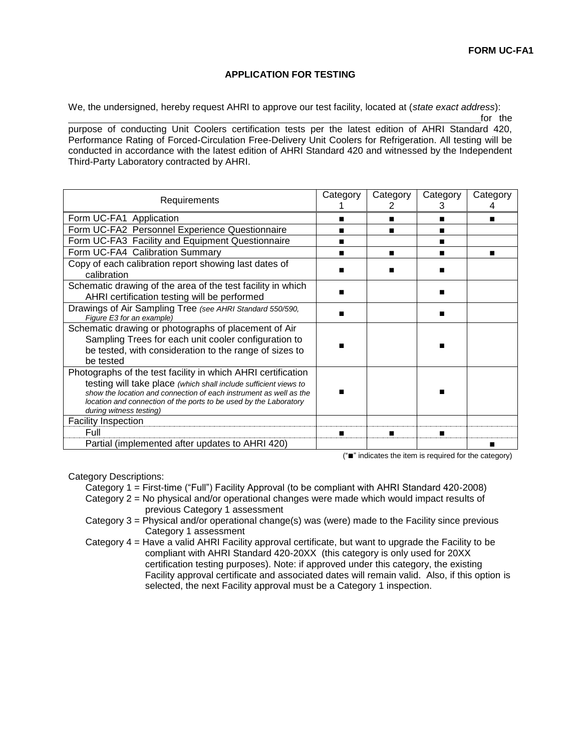## **APPLICATION FOR TESTING**

We, the undersigned, hereby request AHRI to approve our test facility, located at (*state exact address*):

for the

purpose of conducting Unit Coolers certification tests per the latest edition of AHRI Standard 420, Performance Rating of Forced-Circulation Free-Delivery Unit Coolers for Refrigeration. All testing will be conducted in accordance with the latest edition of AHRI Standard 420 and witnessed by the Independent Third-Party Laboratory contracted by AHRI.

| Requirements                                                                                                                                                                                                                                                                                           | Category | Category<br>ン               | Category<br>3 | Category |
|--------------------------------------------------------------------------------------------------------------------------------------------------------------------------------------------------------------------------------------------------------------------------------------------------------|----------|-----------------------------|---------------|----------|
| Form UC-FA1 Application                                                                                                                                                                                                                                                                                |          | ▬                           | ■             | п        |
| Form UC-FA2 Personnel Experience Questionnaire                                                                                                                                                                                                                                                         |          | ■                           |               |          |
| Form UC-FA3 Facility and Equipment Questionnaire                                                                                                                                                                                                                                                       |          |                             |               |          |
| Form UC-FA4 Calibration Summary                                                                                                                                                                                                                                                                        |          | ▬                           |               | ▬        |
| Copy of each calibration report showing last dates of<br>calibration                                                                                                                                                                                                                                   |          |                             |               |          |
| Schematic drawing of the area of the test facility in which<br>AHRI certification testing will be performed                                                                                                                                                                                            |          |                             |               |          |
| Drawings of Air Sampling Tree (see AHRI Standard 550/590,<br>Figure E3 for an example)                                                                                                                                                                                                                 |          |                             | ■             |          |
| Schematic drawing or photographs of placement of Air<br>Sampling Trees for each unit cooler configuration to<br>be tested, with consideration to the range of sizes to<br>be tested                                                                                                                    |          |                             |               |          |
| Photographs of the test facility in which AHRI certification<br>testing will take place (which shall include sufficient views to<br>show the location and connection of each instrument as well as the<br>location and connection of the ports to be used by the Laboratory<br>during witness testing) |          |                             | ■             |          |
| <b>Facility Inspection</b>                                                                                                                                                                                                                                                                             |          |                             |               |          |
| Full                                                                                                                                                                                                                                                                                                   |          |                             | ■             |          |
| Partial (implemented after updates to AHRI 420)                                                                                                                                                                                                                                                        |          | $m = n + n$ $n = 1$ $n = 2$ |               |          |

("■" indicates the item is required for the category)

Category Descriptions:

Category 1 = First-time ("Full") Facility Approval (to be compliant with AHRI Standard 420-2008) Category 2 = No physical and/or operational changes were made which would impact results of previous Category 1 assessment

Category 3 = Physical and/or operational change(s) was (were) made to the Facility since previous Category 1 assessment

Category 4 = Have a valid AHRI Facility approval certificate, but want to upgrade the Facility to be compliant with AHRI Standard 420-20XX (this category is only used for 20XX certification testing purposes). Note: if approved under this category, the existing Facility approval certificate and associated dates will remain valid. Also, if this option is selected, the next Facility approval must be a Category 1 inspection.